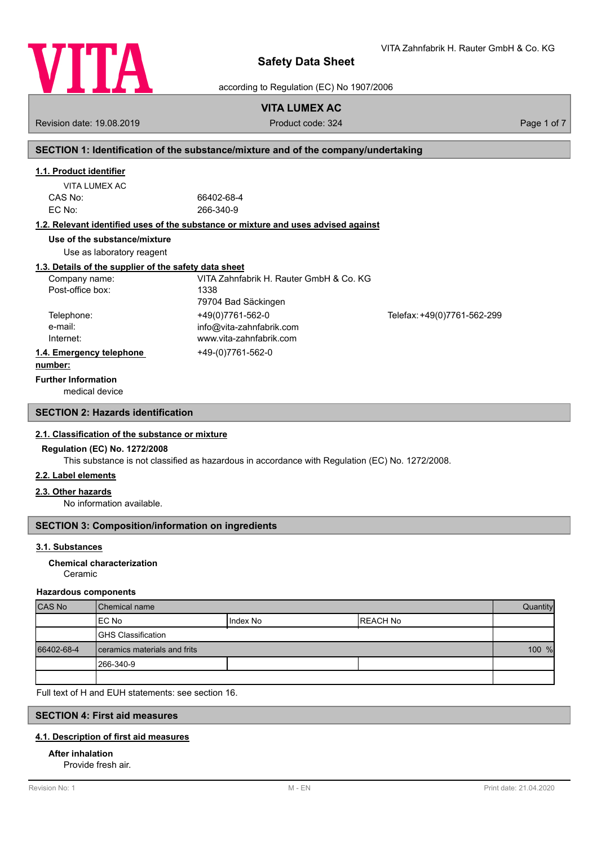

according to Regulation (EC) No 1907/2006

## **VITA LUMEX AC**

Revision date: 19.08.2019 **Product code: 324** Product code: 324 Page 1 of 7

## **SECTION 1: Identification of the substance/mixture and of the company/undertaking**

### **1.1. Product identifier**

| VITA LUMEX AC |  |
|---------------|--|
| CAS No:       |  |
| EC No:        |  |

66402-68-4 EC No: 266-340-9

#### **1.2. Relevant identified uses of the substance or mixture and uses advised against**

**Use of the substance/mixture**

Use as laboratory reagent

#### **1.3. Details of the supplier of the safety data sheet**

| Company name:            | VITA Zahnfabrik H. Rauter GmbH & Co. KG |                             |
|--------------------------|-----------------------------------------|-----------------------------|
| Post-office box:         | 1338                                    |                             |
|                          | 79704 Bad Säckingen                     |                             |
| Telephone:               | +49(0)7761-562-0                        | Telefax: +49(0)7761-562-299 |
| e-mail:                  | info@vita-zahnfabrik.com                |                             |
| Internet:                | www.vita-zahnfabrik.com                 |                             |
| 1.4. Emergency telephone | +49-(0)7761-562-0                       |                             |
| . <b>1.</b>              |                                         |                             |

#### **number:**

**Further Information**

medical device

## **SECTION 2: Hazards identification**

#### **2.1. Classification of the substance or mixture**

### **Regulation (EC) No. 1272/2008**

This substance is not classified as hazardous in accordance with Regulation (EC) No. 1272/2008.

### **2.2. Label elements**

#### **2.3. Other hazards**

No information available.

## **SECTION 3: Composition/information on ingredients**

### **3.1. Substances**

#### Ceramic **Chemical characterization**

#### **Hazardous components**

| <b>CAS No</b> | l Chemical name                |            |           | Quantity |
|---------------|--------------------------------|------------|-----------|----------|
|               | IEC No                         | I Index No | IREACH No |          |
|               | <b>GHS Classification</b>      |            |           |          |
| 66402-68-4    | I ceramics materials and frits |            |           | 100 %    |
|               | 1266-340-9                     |            |           |          |
|               |                                |            |           |          |

Full text of H and EUH statements: see section 16.

## **SECTION 4: First aid measures**

#### **4.1. Description of first aid measures**

### **After inhalation**

Provide fresh air.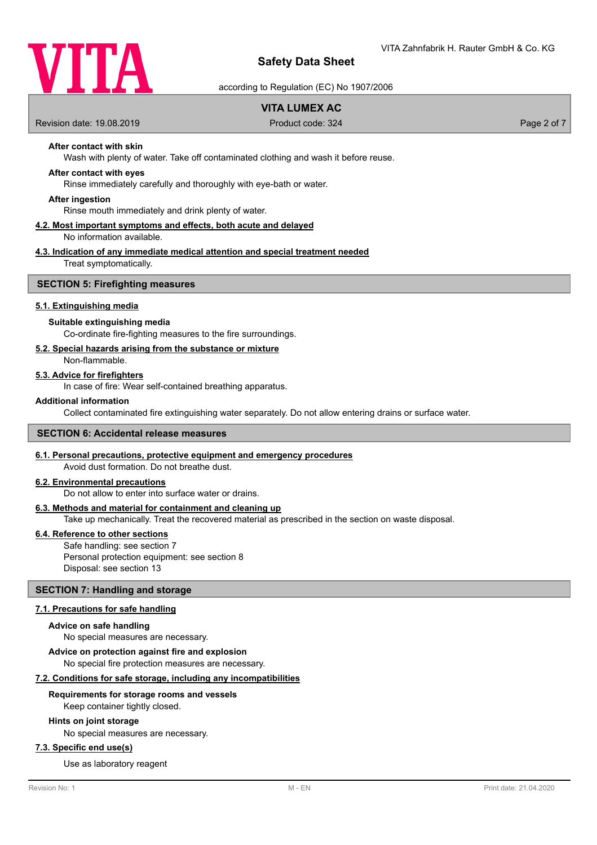

according to Regulation (EC) No 1907/2006

## **VITA LUMEX AC**

Revision date: 19.08.2019 **Product code: 324** Product code: 324 Page 2 of 7

## **After contact with skin**

Wash with plenty of water. Take off contaminated clothing and wash it before reuse.

#### **After contact with eyes**

Rinse immediately carefully and thoroughly with eye-bath or water.

#### **After ingestion**

Rinse mouth immediately and drink plenty of water.

#### **4.2. Most important symptoms and effects, both acute and delayed** No information available.

# **4.3. Indication of any immediate medical attention and special treatment needed**

Treat symptomatically.

#### **SECTION 5: Firefighting measures**

#### **5.1. Extinguishing media**

#### **Suitable extinguishing media**

Co-ordinate fire-fighting measures to the fire surroundings.

#### **5.2. Special hazards arising from the substance or mixture**

Non-flammable.

#### **5.3. Advice for firefighters**

In case of fire: Wear self-contained breathing apparatus.

#### **Additional information**

Collect contaminated fire extinguishing water separately. Do not allow entering drains or surface water.

#### **SECTION 6: Accidental release measures**

#### **6.1. Personal precautions, protective equipment and emergency procedures**

Avoid dust formation. Do not breathe dust.

## **6.2. Environmental precautions**

Do not allow to enter into surface water or drains.

#### **6.3. Methods and material for containment and cleaning up**

Take up mechanically. Treat the recovered material as prescribed in the section on waste disposal.

### **6.4. Reference to other sections**

Safe handling: see section 7 Personal protection equipment: see section 8 Disposal: see section 13

### **SECTION 7: Handling and storage**

#### **7.1. Precautions for safe handling**

#### **Advice on safe handling**

No special measures are necessary.

**Advice on protection against fire and explosion**

No special fire protection measures are necessary.

## **7.2. Conditions for safe storage, including any incompatibilities**

#### **Requirements for storage rooms and vessels**

Keep container tightly closed.

#### **Hints on joint storage**

No special measures are necessary.

## **7.3. Specific end use(s)**

Use as laboratory reagent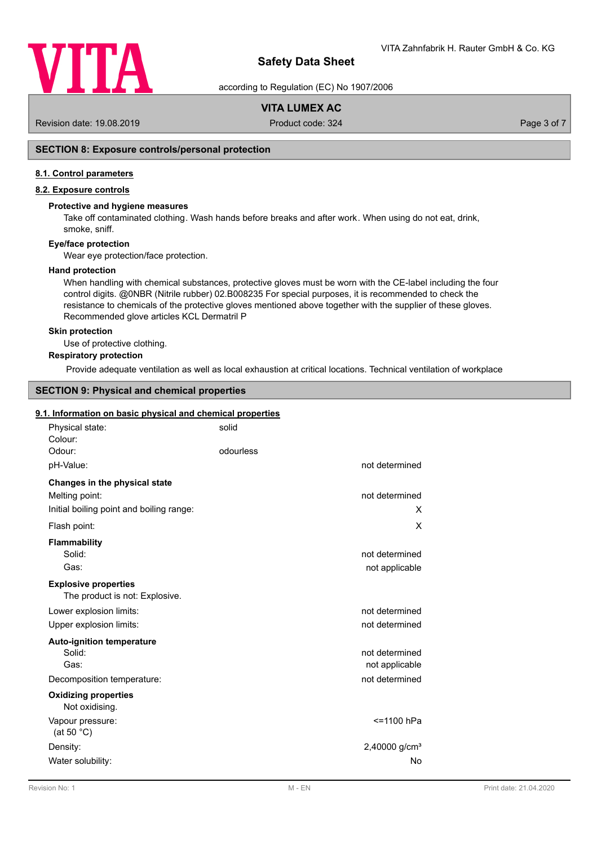

according to Regulation (EC) No 1907/2006

## **VITA LUMEX AC**

Revision date: 19.08.2019 **Product code: 324** Product code: 324 Page 3 of 7

## **SECTION 8: Exposure controls/personal protection**

### **8.1. Control parameters**

## **8.2. Exposure controls**

### **Protective and hygiene measures**

Take off contaminated clothing. Wash hands before breaks and after work. When using do not eat, drink, smoke, sniff.

#### **Eye/face protection**

Wear eye protection/face protection.

#### **Hand protection**

When handling with chemical substances, protective gloves must be worn with the CE-label including the four control digits. @0NBR (Nitrile rubber) 02.B008235 For special purposes, it is recommended to check the resistance to chemicals of the protective gloves mentioned above together with the supplier of these gloves. Recommended glove articles KCL Dermatril P

#### **Skin protection**

Use of protective clothing.

### **Respiratory protection**

Provide adequate ventilation as well as local exhaustion at critical locations. Technical ventilation of workplace

## **SECTION 9: Physical and chemical properties**

#### **9.1. Information on basic physical and chemical properties**

| Physical state:<br>Colour:                                    | solid     |                 |
|---------------------------------------------------------------|-----------|-----------------|
| Odour:                                                        | odourless |                 |
| pH-Value:                                                     |           | not determined  |
| Changes in the physical state                                 |           |                 |
| Melting point:                                                |           | not determined  |
| Initial boiling point and boiling range:                      |           | x               |
| Flash point:                                                  |           | X               |
| <b>Flammability</b>                                           |           |                 |
| Solid:                                                        |           | not determined  |
| Gas:                                                          |           | not applicable  |
| <b>Explosive properties</b><br>The product is not: Explosive. |           |                 |
| Lower explosion limits:                                       |           | not determined  |
| Upper explosion limits:                                       |           | not determined  |
| <b>Auto-ignition temperature</b>                              |           |                 |
| Solid:                                                        |           | not determined  |
| Gas:                                                          |           | not applicable  |
| Decomposition temperature:                                    |           | not determined  |
| <b>Oxidizing properties</b><br>Not oxidising.                 |           |                 |
| Vapour pressure:<br>(at 50 $^{\circ}$ C)                      |           | <=1100 hPa      |
| Density:                                                      |           | 2,40000 $g/cm3$ |
| Water solubility:                                             |           | No              |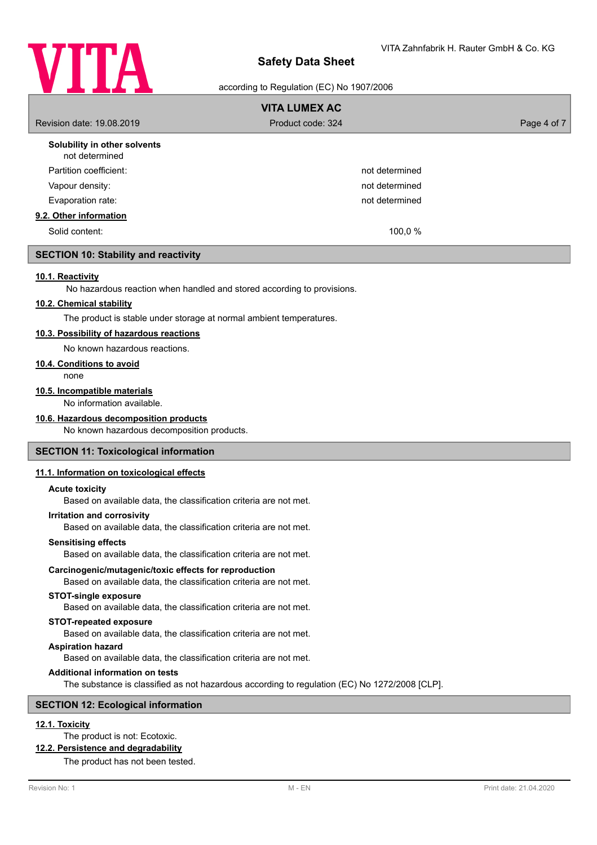

according to Regulation (EC) No 1907/2006

| <b>VITA LUMEX AC</b>                           |                   |             |  |  |
|------------------------------------------------|-------------------|-------------|--|--|
| Revision date: 19.08.2019                      | Product code: 324 | Page 4 of 7 |  |  |
| Solubility in other solvents<br>not determined |                   |             |  |  |
| Partition coefficient:                         | not determined    |             |  |  |
| Vapour density:                                | not determined    |             |  |  |
| Evaporation rate:                              | not determined    |             |  |  |
| 9.2. Other information                         |                   |             |  |  |
| Solid content:                                 | 100,0 %           |             |  |  |

### **SECTION 10: Stability and reactivity**

#### **10.1. Reactivity**

No hazardous reaction when handled and stored according to provisions.

## **10.2. Chemical stability**

The product is stable under storage at normal ambient temperatures.

## **10.3. Possibility of hazardous reactions**

No known hazardous reactions.

#### **10.4. Conditions to avoid**

none

## **10.5. Incompatible materials**

No information available.

## **10.6. Hazardous decomposition products**

No known hazardous decomposition products.

#### **SECTION 11: Toxicological information**

#### **11.1. Information on toxicological effects**

#### **Acute toxicity**

Based on available data, the classification criteria are not met.

#### **Irritation and corrosivity**

Based on available data, the classification criteria are not met.

#### **Sensitising effects**

Based on available data, the classification criteria are not met.

#### **Carcinogenic/mutagenic/toxic effects for reproduction**

Based on available data, the classification criteria are not met.

#### **STOT-single exposure**

Based on available data, the classification criteria are not met.

#### **STOT-repeated exposure**

Based on available data, the classification criteria are not met.

### **Aspiration hazard**

Based on available data, the classification criteria are not met.

## **Additional information on tests**

The substance is classified as not hazardous according to regulation (EC) No 1272/2008 [CLP].

#### **SECTION 12: Ecological information**

## **12.1. Toxicity**

The product is not: Ecotoxic.

### **12.2. Persistence and degradability**

The product has not been tested.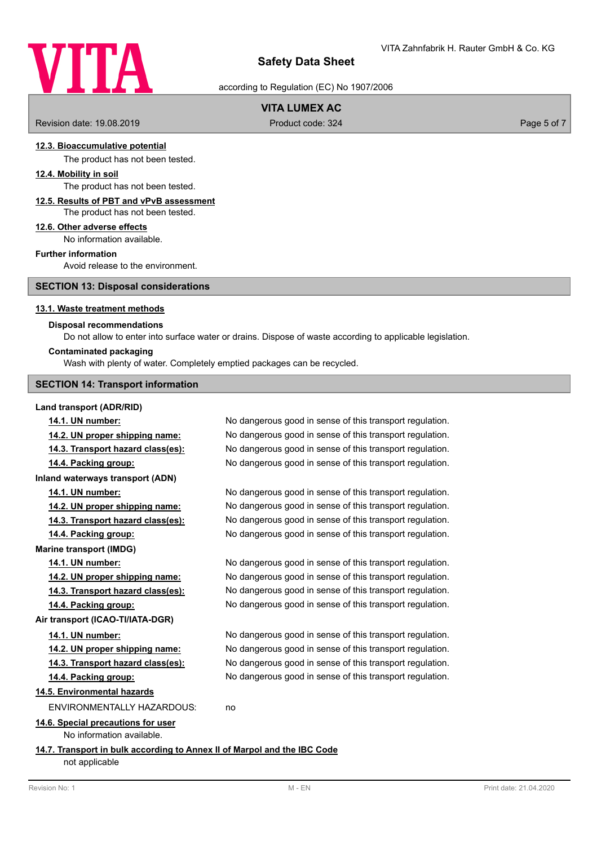

according to Regulation (EC) No 1907/2006

## **VITA LUMEX AC**

Revision date: 19.08.2019 **Product code: 324** Product code: 324 **Page 5 of 7** Page 5 of 7

### **12.3. Bioaccumulative potential**

The product has not been tested.

#### **12.4. Mobility in soil**

The product has not been tested.

## **12.5. Results of PBT and vPvB assessment**

The product has not been tested.

### **12.6. Other adverse effects**

No information available.

### **Further information**

Avoid release to the environment.

### **SECTION 13: Disposal considerations**

#### **13.1. Waste treatment methods**

#### **Disposal recommendations**

Do not allow to enter into surface water or drains. Dispose of waste according to applicable legislation.

#### **Contaminated packaging**

Wash with plenty of water. Completely emptied packages can be recycled.

#### **SECTION 14: Transport information**

#### **Land transport (ADR/RID)**

**14.1. UN number:** No dangerous good in sense of this transport regulation. **14.2. UN proper shipping name:** No dangerous good in sense of this transport regulation. **14.3. Transport hazard class(es):** No dangerous good in sense of this transport regulation. **14.4. Packing group:** No dangerous good in sense of this transport regulation. **Inland waterways transport (ADN) 14.1. UN number:** No dangerous good in sense of this transport regulation. **14.2. UN proper shipping name:** No dangerous good in sense of this transport regulation. **14.3. Transport hazard class(es):** No dangerous good in sense of this transport regulation. **14.4. Packing group:** No dangerous good in sense of this transport regulation. **Marine transport (IMDG) 14.1. UN number:** No dangerous good in sense of this transport regulation. **14.2. UN proper shipping name:** No dangerous good in sense of this transport regulation. **14.3. Transport hazard class(es):** No dangerous good in sense of this transport regulation. **14.4. Packing group:** No dangerous good in sense of this transport regulation. **Air transport (ICAO-TI/IATA-DGR) 14.1. UN number:** No dangerous good in sense of this transport regulation. **14.2. UN proper shipping name:** No dangerous good in sense of this transport regulation. **14.3. Transport hazard class(es):** No dangerous good in sense of this transport regulation. **14.4. Packing group:** No dangerous good in sense of this transport regulation. **14.5. Environmental hazards** ENVIRONMENTALLY HAZARDOUS: no **14.6. Special precautions for user** No information available. **14.7. Transport in bulk according to Annex II of Marpol and the IBC Code** not applicable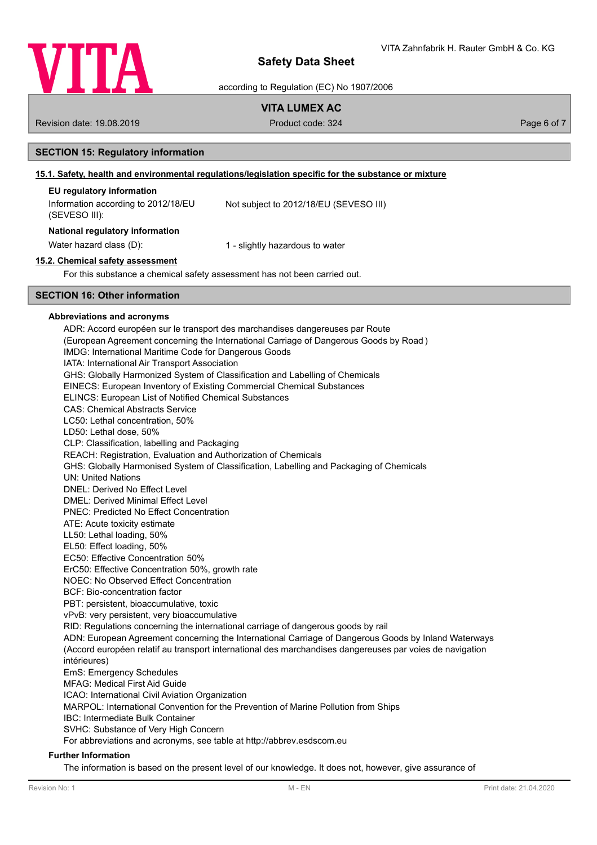

according to Regulation (EC) No 1907/2006

## **VITA LUMEX AC**

Revision date: 19.08.2019 **Product code: 324** Product code: 324 **Page 6 of 7** Page 6 of 7

## **SECTION 15: Regulatory information**

## **15.1. Safety, health and environmental regulations/legislation specific for the substance or mixture**

## **EU regulatory information**

Information according to 2012/18/EU (SEVESO III): Not subject to 2012/18/EU (SEVESO III) **National regulatory information** Water hazard class (D): 1 - slightly hazardous to water

## **15.2. Chemical safety assessment**

For this substance a chemical safety assessment has not been carried out.

### **SECTION 16: Other information**

#### **Abbreviations and acronyms**

ADR: Accord européen sur le transport des marchandises dangereuses par Route (European Agreement concerning the International Carriage of Dangerous Goods by Road ) IMDG: International Maritime Code for Dangerous Goods IATA: International Air Transport Association GHS: Globally Harmonized System of Classification and Labelling of Chemicals EINECS: European Inventory of Existing Commercial Chemical Substances ELINCS: European List of Notified Chemical Substances CAS: Chemical Abstracts Service LC50: Lethal concentration, 50% LD50: Lethal dose, 50% CLP: Classification, labelling and Packaging REACH: Registration, Evaluation and Authorization of Chemicals GHS: Globally Harmonised System of Classification, Labelling and Packaging of Chemicals UN: United Nations DNEL: Derived No Effect Level DMEL: Derived Minimal Effect Level PNEC: Predicted No Effect Concentration ATE: Acute toxicity estimate LL50: Lethal loading, 50% EL50: Effect loading, 50% EC50: Effective Concentration 50% ErC50: Effective Concentration 50%, growth rate NOEC: No Observed Effect Concentration BCF: Bio-concentration factor PBT: persistent, bioaccumulative, toxic vPvB: very persistent, very bioaccumulative RID: Regulations concerning the international carriage of dangerous goods by rail ADN: European Agreement concerning the International Carriage of Dangerous Goods by Inland Waterways (Accord européen relatif au transport international des marchandises dangereuses par voies de navigation intérieures) EmS: Emergency Schedules MFAG: Medical First Aid Guide ICAO: International Civil Aviation Organization MARPOL: International Convention for the Prevention of Marine Pollution from Ships IBC: Intermediate Bulk Container SVHC: Substance of Very High Concern For abbreviations and acronyms, see table at http://abbrev.esdscom.eu

#### **Further Information**

The information is based on the present level of our knowledge. It does not, however, give assurance of